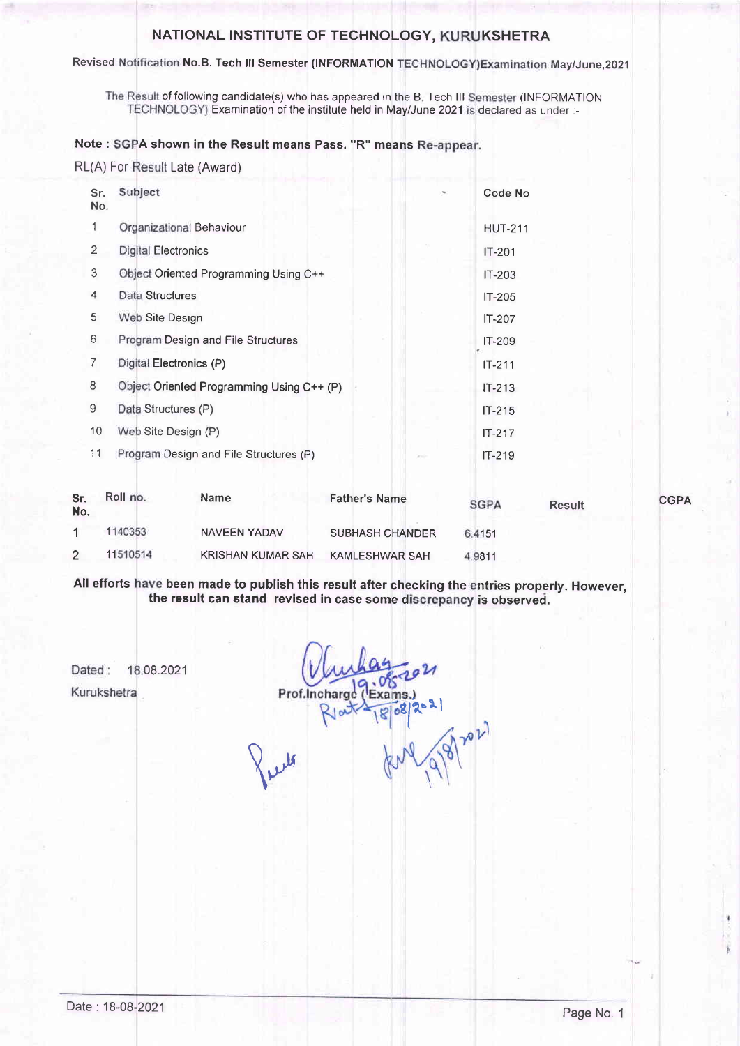### NATIONAL INSTITUTE OF TECHNOLOGY, KURUKSHETRA

#### Revised Notification No.B. Tech III Semester (INFORMATION TECHNOLOGY)Examination May/June,2021

The Result of following candidate(s) who has appeared in the B. Tech III Semester (INFORMATION TECHNOLOGY) Examination of the institute held in May/June,2021 is declared as under :-

### Note : SGPA shown in the Result means Pass. "R" means Re-appear.

RL(A) For Result Late (Award)

| Sr.<br>No. | Subject                                   |    | Code No        |
|------------|-------------------------------------------|----|----------------|
| 1          | Organizational Behaviour                  |    | <b>HUT-211</b> |
| 2          | Digital Electronics                       |    | $IT-201$       |
| 3          | Object Oriented Programming Using C++     |    | $IT-203$       |
| 4          | Data Structures                           |    | $IT-205$       |
| 5          | Web Site Design                           |    | IT-207         |
| 6          | Program Design and File Structures        |    | $IT-209$       |
| 7          | Digital Electronics (P)                   |    | $IT-211$       |
| 8          | Object Oriented Programming Using C++ (P) |    | $IT-213$       |
| 9          | Data Structures (P)                       |    | $IT-215$       |
| 10         | Web Site Design (P)                       |    | $IT-217$       |
| 11         | Program Design and File Structures (P)    | -- | $IT-219$       |

| Sr.<br>No. | Roll no. | <b>Name</b>              | <b>Father's Name</b>   | <b>SGPA</b> | <b>Result</b> | <b>CGPA</b> |
|------------|----------|--------------------------|------------------------|-------------|---------------|-------------|
|            | 140353   | NAVEEN YADAV             | <b>SUBHASH CHANDER</b> | 6.4151      |               |             |
| ົ          | 11510514 | <b>KRISHAN KUMAR SAH</b> | <b>KAMLESHWAR SAH</b>  | 4.9811      |               |             |

All efforts have been made to publish this result after checking the entries properly. However the result can stand revised in case some d is observed.

Dated: 18.08.2021 Kurukshetra

Prof.Incha  $31$ 

 $\lambda$